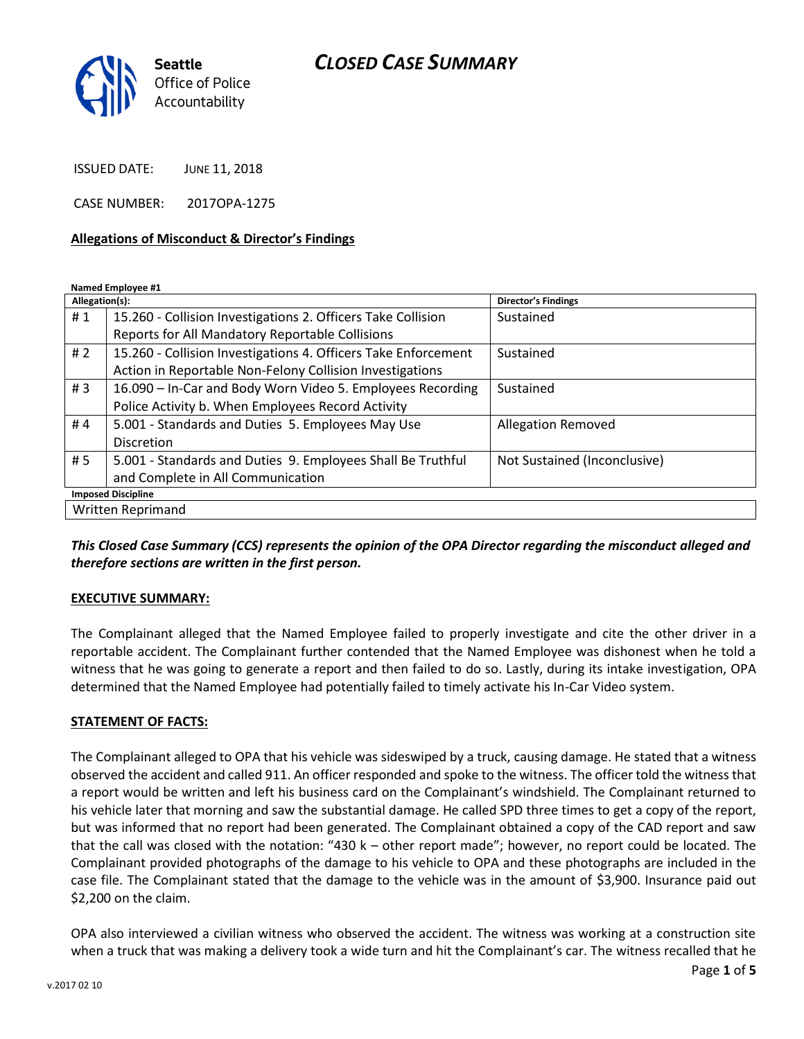## *CLOSED CASE SUMMARY*



ISSUED DATE: JUNE 11, 2018

CASE NUMBER: 2017OPA-1275

#### **Allegations of Misconduct & Director's Findings**

**Named Employee #1**

| Allegation(s):            |                                                                | <b>Director's Findings</b>   |
|---------------------------|----------------------------------------------------------------|------------------------------|
| #1                        | 15.260 - Collision Investigations 2. Officers Take Collision   | Sustained                    |
|                           | Reports for All Mandatory Reportable Collisions                |                              |
| # $2$                     | 15.260 - Collision Investigations 4. Officers Take Enforcement | Sustained                    |
|                           | Action in Reportable Non-Felony Collision Investigations       |                              |
| #3                        | 16.090 - In-Car and Body Worn Video 5. Employees Recording     | Sustained                    |
|                           | Police Activity b. When Employees Record Activity              |                              |
| #4                        | 5.001 - Standards and Duties 5. Employees May Use              | <b>Allegation Removed</b>    |
|                           | <b>Discretion</b>                                              |                              |
| # 5                       | 5.001 - Standards and Duties 9. Employees Shall Be Truthful    | Not Sustained (Inconclusive) |
|                           | and Complete in All Communication                              |                              |
| <b>Imposed Discipline</b> |                                                                |                              |
| Written Reprimand         |                                                                |                              |

*This Closed Case Summary (CCS) represents the opinion of the OPA Director regarding the misconduct alleged and therefore sections are written in the first person.* 

### **EXECUTIVE SUMMARY:**

The Complainant alleged that the Named Employee failed to properly investigate and cite the other driver in a reportable accident. The Complainant further contended that the Named Employee was dishonest when he told a witness that he was going to generate a report and then failed to do so. Lastly, during its intake investigation, OPA determined that the Named Employee had potentially failed to timely activate his In-Car Video system.

#### **STATEMENT OF FACTS:**

The Complainant alleged to OPA that his vehicle was sideswiped by a truck, causing damage. He stated that a witness observed the accident and called 911. An officer responded and spoke to the witness. The officer told the witness that a report would be written and left his business card on the Complainant's windshield. The Complainant returned to his vehicle later that morning and saw the substantial damage. He called SPD three times to get a copy of the report, but was informed that no report had been generated. The Complainant obtained a copy of the CAD report and saw that the call was closed with the notation: "430 k – other report made"; however, no report could be located. The Complainant provided photographs of the damage to his vehicle to OPA and these photographs are included in the case file. The Complainant stated that the damage to the vehicle was in the amount of \$3,900. Insurance paid out \$2,200 on the claim.

OPA also interviewed a civilian witness who observed the accident. The witness was working at a construction site when a truck that was making a delivery took a wide turn and hit the Complainant's car. The witness recalled that he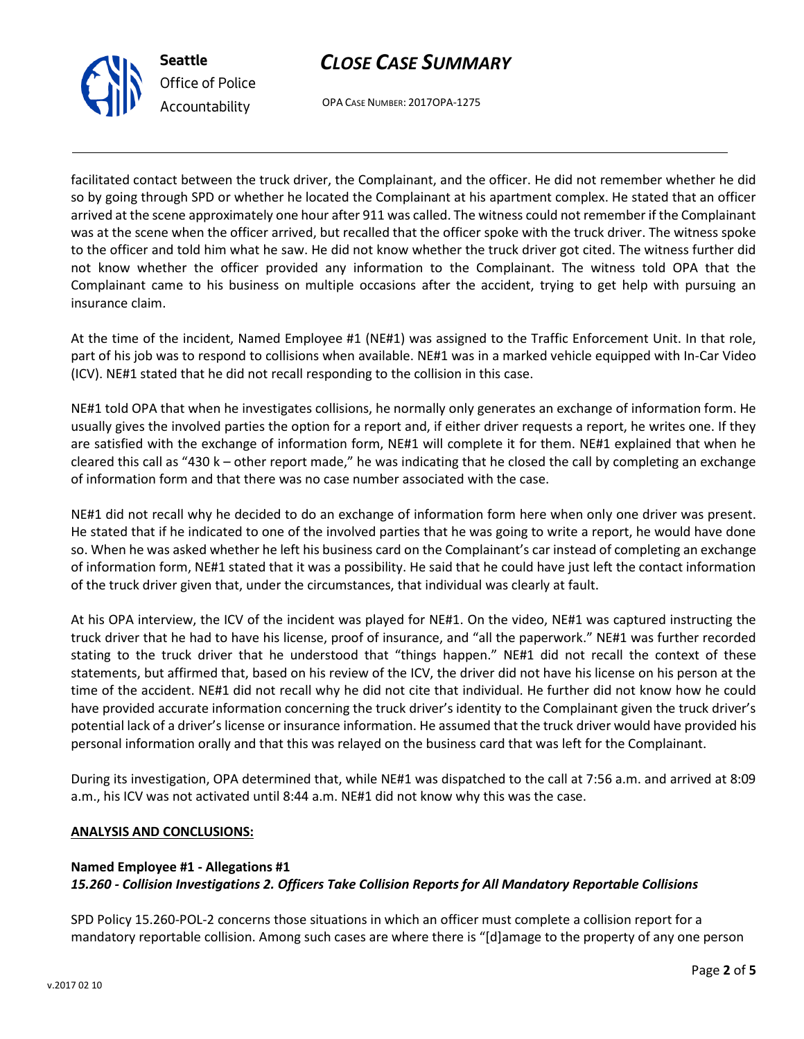



OPA CASE NUMBER: 2017OPA-1275

facilitated contact between the truck driver, the Complainant, and the officer. He did not remember whether he did so by going through SPD or whether he located the Complainant at his apartment complex. He stated that an officer arrived at the scene approximately one hour after 911 was called. The witness could not remember if the Complainant was at the scene when the officer arrived, but recalled that the officer spoke with the truck driver. The witness spoke to the officer and told him what he saw. He did not know whether the truck driver got cited. The witness further did not know whether the officer provided any information to the Complainant. The witness told OPA that the Complainant came to his business on multiple occasions after the accident, trying to get help with pursuing an insurance claim.

At the time of the incident, Named Employee #1 (NE#1) was assigned to the Traffic Enforcement Unit. In that role, part of his job was to respond to collisions when available. NE#1 was in a marked vehicle equipped with In-Car Video (ICV). NE#1 stated that he did not recall responding to the collision in this case.

NE#1 told OPA that when he investigates collisions, he normally only generates an exchange of information form. He usually gives the involved parties the option for a report and, if either driver requests a report, he writes one. If they are satisfied with the exchange of information form, NE#1 will complete it for them. NE#1 explained that when he cleared this call as "430 k – other report made," he was indicating that he closed the call by completing an exchange of information form and that there was no case number associated with the case.

NE#1 did not recall why he decided to do an exchange of information form here when only one driver was present. He stated that if he indicated to one of the involved parties that he was going to write a report, he would have done so. When he was asked whether he left his business card on the Complainant's car instead of completing an exchange of information form, NE#1 stated that it was a possibility. He said that he could have just left the contact information of the truck driver given that, under the circumstances, that individual was clearly at fault.

At his OPA interview, the ICV of the incident was played for NE#1. On the video, NE#1 was captured instructing the truck driver that he had to have his license, proof of insurance, and "all the paperwork." NE#1 was further recorded stating to the truck driver that he understood that "things happen." NE#1 did not recall the context of these statements, but affirmed that, based on his review of the ICV, the driver did not have his license on his person at the time of the accident. NE#1 did not recall why he did not cite that individual. He further did not know how he could have provided accurate information concerning the truck driver's identity to the Complainant given the truck driver's potential lack of a driver's license or insurance information. He assumed that the truck driver would have provided his personal information orally and that this was relayed on the business card that was left for the Complainant.

During its investigation, OPA determined that, while NE#1 was dispatched to the call at 7:56 a.m. and arrived at 8:09 a.m., his ICV was not activated until 8:44 a.m. NE#1 did not know why this was the case.

## **ANALYSIS AND CONCLUSIONS:**

## **Named Employee #1 - Allegations #1** *15.260 - Collision Investigations 2. Officers Take Collision Reports for All Mandatory Reportable Collisions*

SPD Policy 15.260-POL-2 concerns those situations in which an officer must complete a collision report for a mandatory reportable collision. Among such cases are where there is "[d]amage to the property of any one person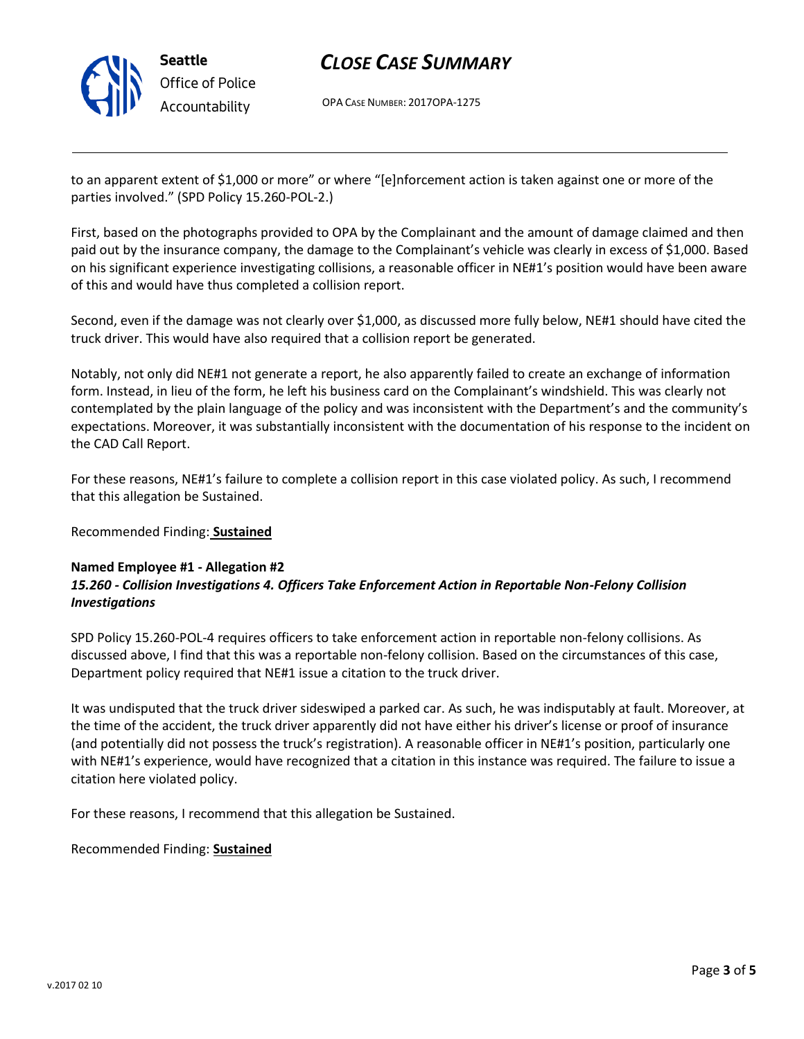

# *CLOSE CASE SUMMARY*

OPA CASE NUMBER: 2017OPA-1275

to an apparent extent of \$1,000 or more" or where "[e]nforcement action is taken against one or more of the parties involved." (SPD Policy 15.260-POL-2.)

First, based on the photographs provided to OPA by the Complainant and the amount of damage claimed and then paid out by the insurance company, the damage to the Complainant's vehicle was clearly in excess of \$1,000. Based on his significant experience investigating collisions, a reasonable officer in NE#1's position would have been aware of this and would have thus completed a collision report.

Second, even if the damage was not clearly over \$1,000, as discussed more fully below, NE#1 should have cited the truck driver. This would have also required that a collision report be generated.

Notably, not only did NE#1 not generate a report, he also apparently failed to create an exchange of information form. Instead, in lieu of the form, he left his business card on the Complainant's windshield. This was clearly not contemplated by the plain language of the policy and was inconsistent with the Department's and the community's expectations. Moreover, it was substantially inconsistent with the documentation of his response to the incident on the CAD Call Report.

For these reasons, NE#1's failure to complete a collision report in this case violated policy. As such, I recommend that this allegation be Sustained.

### Recommended Finding: **Sustained**

### **Named Employee #1 - Allegation #2** *15.260 - Collision Investigations 4. Officers Take Enforcement Action in Reportable Non-Felony Collision Investigations*

SPD Policy 15.260-POL-4 requires officers to take enforcement action in reportable non-felony collisions. As discussed above, I find that this was a reportable non-felony collision. Based on the circumstances of this case, Department policy required that NE#1 issue a citation to the truck driver.

It was undisputed that the truck driver sideswiped a parked car. As such, he was indisputably at fault. Moreover, at the time of the accident, the truck driver apparently did not have either his driver's license or proof of insurance (and potentially did not possess the truck's registration). A reasonable officer in NE#1's position, particularly one with NE#1's experience, would have recognized that a citation in this instance was required. The failure to issue a citation here violated policy.

For these reasons, I recommend that this allegation be Sustained.

Recommended Finding: **Sustained**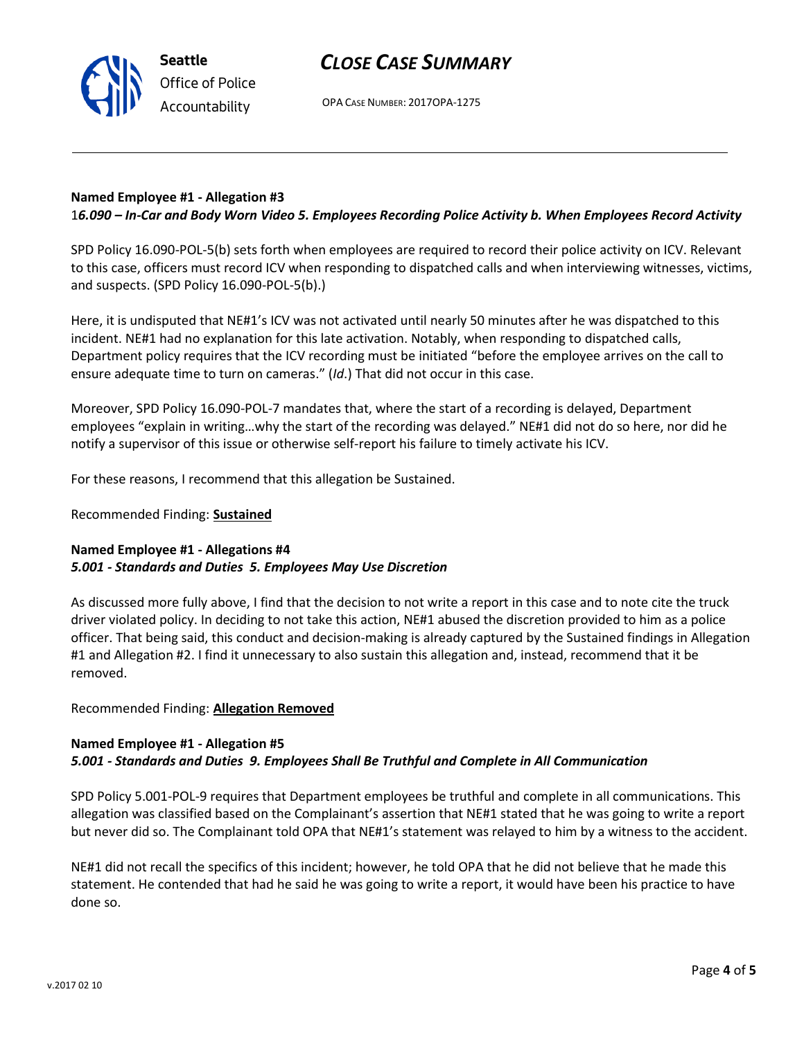OPA CASE NUMBER: 2017OPA-1275

## **Named Employee #1 - Allegation #3**

**Seattle**

*Office of Police Accountability*

1*6.090 – In-Car and Body Worn Video 5. Employees Recording Police Activity b. When Employees Record Activity*

SPD Policy 16.090-POL-5(b) sets forth when employees are required to record their police activity on ICV. Relevant to this case, officers must record ICV when responding to dispatched calls and when interviewing witnesses, victims, and suspects. (SPD Policy 16.090-POL-5(b).)

Here, it is undisputed that NE#1's ICV was not activated until nearly 50 minutes after he was dispatched to this incident. NE#1 had no explanation for this late activation. Notably, when responding to dispatched calls, Department policy requires that the ICV recording must be initiated "before the employee arrives on the call to ensure adequate time to turn on cameras." (*Id*.) That did not occur in this case.

Moreover, SPD Policy 16.090-POL-7 mandates that, where the start of a recording is delayed, Department employees "explain in writing…why the start of the recording was delayed." NE#1 did not do so here, nor did he notify a supervisor of this issue or otherwise self-report his failure to timely activate his ICV.

For these reasons, I recommend that this allegation be Sustained.

Recommended Finding: **Sustained**

## **Named Employee #1 - Allegations #4** *5.001 - Standards and Duties 5. Employees May Use Discretion*

As discussed more fully above, I find that the decision to not write a report in this case and to note cite the truck driver violated policy. In deciding to not take this action, NE#1 abused the discretion provided to him as a police officer. That being said, this conduct and decision-making is already captured by the Sustained findings in Allegation #1 and Allegation #2. I find it unnecessary to also sustain this allegation and, instead, recommend that it be removed.

### Recommended Finding: **Allegation Removed**

## **Named Employee #1 - Allegation #5** *5.001 - Standards and Duties 9. Employees Shall Be Truthful and Complete in All Communication*

SPD Policy 5.001-POL-9 requires that Department employees be truthful and complete in all communications. This allegation was classified based on the Complainant's assertion that NE#1 stated that he was going to write a report but never did so. The Complainant told OPA that NE#1's statement was relayed to him by a witness to the accident.

NE#1 did not recall the specifics of this incident; however, he told OPA that he did not believe that he made this statement. He contended that had he said he was going to write a report, it would have been his practice to have done so.